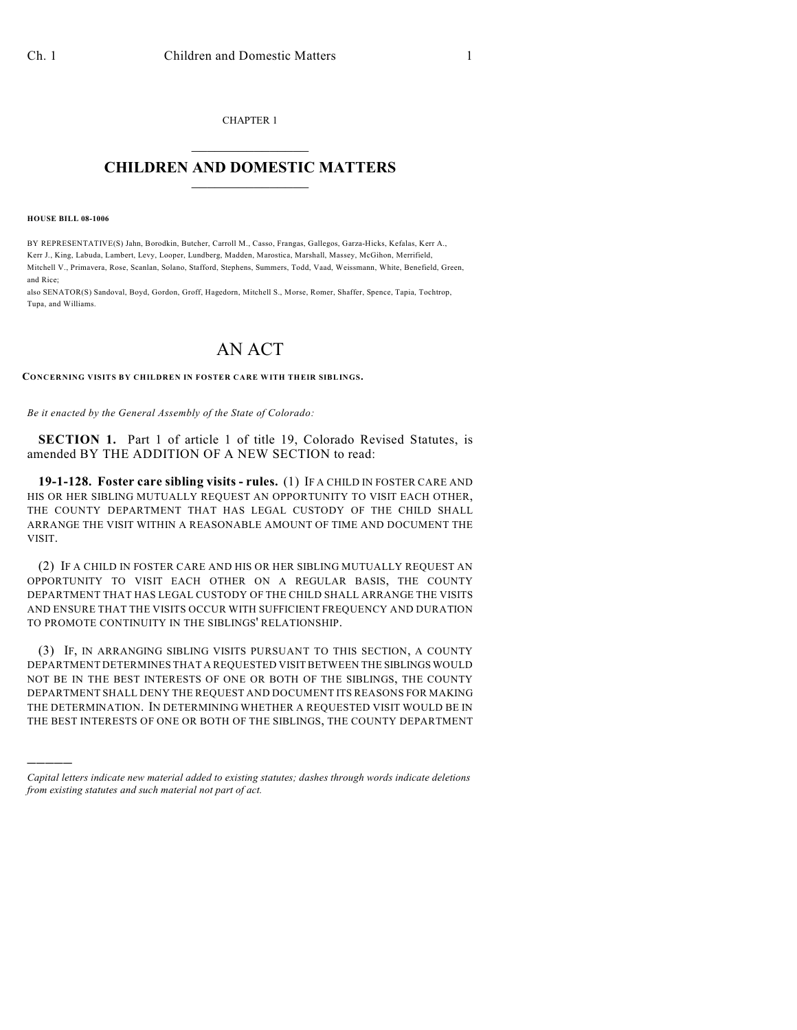CHAPTER 1  $\overline{\phantom{a}}$  . The set of the set of the set of the set of the set of the set of the set of the set of the set of the set of the set of the set of the set of the set of the set of the set of the set of the set of the set o

## **CHILDREN AND DOMESTIC MATTERS**  $\_$

**HOUSE BILL 08-1006**

)))))

BY REPRESENTATIVE(S) Jahn, Borodkin, Butcher, Carroll M., Casso, Frangas, Gallegos, Garza-Hicks, Kefalas, Kerr A., Kerr J., King, Labuda, Lambert, Levy, Looper, Lundberg, Madden, Marostica, Marshall, Massey, McGihon, Merrifield, Mitchell V., Primavera, Rose, Scanlan, Solano, Stafford, Stephens, Summers, Todd, Vaad, Weissmann, White, Benefield, Green, and Rice;

also SENATOR(S) Sandoval, Boyd, Gordon, Groff, Hagedorn, Mitchell S., Morse, Romer, Shaffer, Spence, Tapia, Tochtrop, Tupa, and Williams.

## AN ACT

**CONCERNING VISITS BY CHILDREN IN FOSTER CARE WITH THEIR SIBLINGS.**

*Be it enacted by the General Assembly of the State of Colorado:*

**SECTION 1.** Part 1 of article 1 of title 19, Colorado Revised Statutes, is amended BY THE ADDITION OF A NEW SECTION to read:

**19-1-128. Foster care sibling visits - rules.** (1) IF A CHILD IN FOSTER CARE AND HIS OR HER SIBLING MUTUALLY REQUEST AN OPPORTUNITY TO VISIT EACH OTHER, THE COUNTY DEPARTMENT THAT HAS LEGAL CUSTODY OF THE CHILD SHALL ARRANGE THE VISIT WITHIN A REASONABLE AMOUNT OF TIME AND DOCUMENT THE VISIT.

(2) IF A CHILD IN FOSTER CARE AND HIS OR HER SIBLING MUTUALLY REQUEST AN OPPORTUNITY TO VISIT EACH OTHER ON A REGULAR BASIS, THE COUNTY DEPARTMENT THAT HAS LEGAL CUSTODY OF THE CHILD SHALL ARRANGE THE VISITS AND ENSURE THAT THE VISITS OCCUR WITH SUFFICIENT FREQUENCY AND DURATION TO PROMOTE CONTINUITY IN THE SIBLINGS' RELATIONSHIP.

(3) IF, IN ARRANGING SIBLING VISITS PURSUANT TO THIS SECTION, A COUNTY DEPARTMENT DETERMINES THAT A REQUESTED VISIT BETWEEN THE SIBLINGS WOULD NOT BE IN THE BEST INTERESTS OF ONE OR BOTH OF THE SIBLINGS, THE COUNTY DEPARTMENT SHALL DENY THE REQUEST AND DOCUMENT ITS REASONS FOR MAKING THE DETERMINATION. IN DETERMINING WHETHER A REQUESTED VISIT WOULD BE IN THE BEST INTERESTS OF ONE OR BOTH OF THE SIBLINGS, THE COUNTY DEPARTMENT

*Capital letters indicate new material added to existing statutes; dashes through words indicate deletions from existing statutes and such material not part of act.*